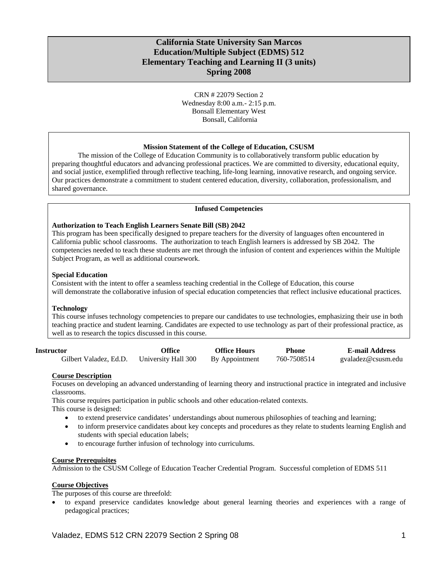# **California State University San Marcos Education/Multiple Subject (EDMS) 512 Elementary Teaching and Learning II (3 units) Spring 2008**

CRN # 22079 Section 2 Wednesday 8:00 a.m.- 2:15 p.m. Bonsall Elementary West Bonsall, California

## **Mission Statement of the College of Education, CSUSM**

The mission of the College of Education Community is to collaboratively transform public education by preparing thoughtful educators and advancing professional practices. We are committed to diversity, educational equity, and social justice, exemplified through reflective teaching, life-long learning, innovative research, and ongoing service. Our practices demonstrate a commitment to student centered education, diversity, collaboration, professionalism, and shared governance.

### **Infused Competencies**

## **Authorization to Teach English Learners Senate Bill (SB) 2042**

This program has been specifically designed to prepare teachers for the diversity of languages often encountered in California public school classrooms. The authorization to teach English learners is addressed by SB 2042. The competencies needed to teach these students are met through the infusion of content and experiences within the Multiple Subject Program, as well as additional coursework.

### **Special Education**

Consistent with the intent to offer a seamless teaching credential in the College of Education, this course will demonstrate the collaborative infusion of special education competencies that reflect inclusive educational practices.

### **Technology**

This course infuses technology competencies to prepare our candidates to use technologies, emphasizing their use in both teaching practice and student learning. Candidates are expected to use technology as part of their professional practice, as well as to research the topics discussed in this course.

| Instructor             | Office              | <b>Office Hours</b> | <b>Phone</b> | <b>E-mail Address</b> |
|------------------------|---------------------|---------------------|--------------|-----------------------|
| Gilbert Valadez, Ed.D. | University Hall 300 | By Appointment      | 760-7508514  | gvaladez@csusm.edu    |

# **Course Description**

Focuses on developing an advanced understanding of learning theory and instructional practice in integrated and inclusive classrooms.

This course requires participation in public schools and other education-related contexts. This course is designed:

• to extend preservice candidates' understandings about numerous philosophies of teaching and learning;

- to inform preservice candidates about key concepts and procedures as they relate to students learning English and students with special education labels;
- to encourage further infusion of technology into curriculums.

### **Course Prerequisites**

Admission to the CSUSM College of Education Teacher Credential Program. Successful completion of EDMS 511

# **Course Objectives**

The purposes of this course are threefold:

• to expand preservice candidates knowledge about general learning theories and experiences with a range of pedagogical practices;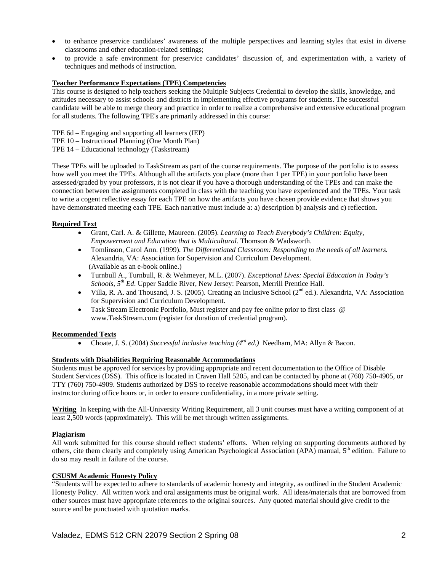- to enhance preservice candidates' awareness of the multiple perspectives and learning styles that exist in diverse classrooms and other education-related settings;
- to provide a safe environment for preservice candidates' discussion of, and experimentation with, a variety of techniques and methods of instruction.

## **Teacher Performance Expectations (TPE) Competencies**

This course is designed to help teachers seeking the Multiple Subjects Credential to develop the skills, knowledge, and attitudes necessary to assist schools and districts in implementing effective programs for students. The successful candidate will be able to merge theory and practice in order to realize a comprehensive and extensive educational program for all students. The following TPE's are primarily addressed in this course:

- TPE 6d Engaging and supporting all learners (IEP)
- TPE 10 Instructional Planning (One Month Plan)
- TPE 14 Educational technology (Taskstream)

These TPEs will be uploaded to TaskStream as part of the course requirements. The purpose of the portfolio is to assess how well you meet the TPEs. Although all the artifacts you place (more than 1 per TPE) in your portfolio have been assessed/graded by your professors, it is not clear if you have a thorough understanding of the TPEs and can make the connection between the assignments completed in class with the teaching you have experienced and the TPEs. Your task to write a cogent reflective essay for each TPE on how the artifacts you have chosen provide evidence that shows you have demonstrated meeting each TPE. Each narrative must include a: a) description b) analysis and c) reflection.

# **Required Text**

- Grant, Carl. A. & Gillette, Maureen. (2005). *Learning to Teach Everybody's Children: Equity, Empowerment and Education that is Multicultural.* Thomson & Wadsworth.
- Tomlinson, Carol Ann. (1999). *The Differentiated Classroom: Responding to the needs of all learners.*  Alexandria, VA: Association for Supervision and Curriculum Development. (Available as an e-book online.)
- Turnbull A., Turnbull, R. & Wehmeyer, M.L. (2007). *Exceptional Lives: Special Education in Today's Schools, 5th Ed*. Upper Saddle River, New Jersey: Pearson, Merrill Prentice Hall.
- Villa, R. A. and Thousand, J. S. (2005). Creating an Inclusive School ( $2<sup>nd</sup>$  ed.). Alexandria, VA: Association for Supervision and Curriculum Development.
- Task Stream Electronic Portfolio, Must register and pay fee online prior to first class @ www.TaskStream.com (register for duration of credential program).

### **Recommended Texts**

• Choate, J. S. (2004) *Successful inclusive teaching (4rd ed.)* Needham, MA: Allyn & Bacon.

### **Students with Disabilities Requiring Reasonable Accommodations**

Students must be approved for services by providing appropriate and recent documentation to the Office of Disable Student Services (DSS). This office is located in Craven Hall 5205, and can be contacted by phone at (760) 750-4905, or TTY (760) 750-4909. Students authorized by DSS to receive reasonable accommodations should meet with their instructor during office hours or, in order to ensure confidentiality, in a more private setting.

**Writing** In keeping with the All-University Writing Requirement, all 3 unit courses must have a writing component of at least 2,500 words (approximately). This will be met through written assignments.

### **Plagiarism**

All work submitted for this course should reflect students' efforts. When relying on supporting documents authored by others, cite them clearly and completely using American Psychological Association (APA) manual, 5<sup>th</sup> edition. Failure to do so may result in failure of the course.

# **CSUSM Academic Honesty Policy**

"Students will be expected to adhere to standards of academic honesty and integrity, as outlined in the Student Academic Honesty Policy. All written work and oral assignments must be original work. All ideas/materials that are borrowed from other sources must have appropriate references to the original sources. Any quoted material should give credit to the source and be punctuated with quotation marks.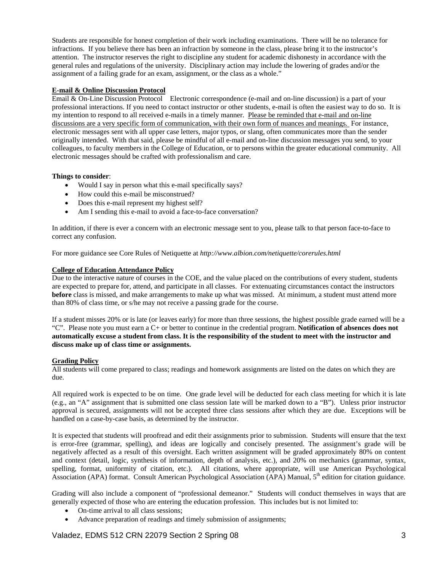Students are responsible for honest completion of their work including examinations. There will be no tolerance for infractions. If you believe there has been an infraction by someone in the class, please bring it to the instructor's attention. The instructor reserves the right to discipline any student for academic dishonesty in accordance with the general rules and regulations of the university. Disciplinary action may include the lowering of grades and/or the assignment of a failing grade for an exam, assignment, or the class as a whole."

# **E-mail & Online Discussion Protocol**

Email & On-Line Discussion Protocol Electronic correspondence (e-mail and on-line discussion) is a part of your professional interactions. If you need to contact instructor or other students, e-mail is often the easiest way to do so. It is my intention to respond to all received e-mails in a timely manner. Please be reminded that e-mail and on-line discussions are a very specific form of communication, with their own form of nuances and meanings. For instance, electronic messages sent with all upper case letters, major typos, or slang, often communicates more than the sender originally intended. With that said, please be mindful of all e-mail and on-line discussion messages you send, to your colleagues, to faculty members in the College of Education, or to persons within the greater educational community. All electronic messages should be crafted with professionalism and care.

# **Things to consider**:

- Would I say in person what this e-mail specifically says?
- How could this e-mail be misconstrued?
- Does this e-mail represent my highest self?
- Am I sending this e-mail to avoid a face-to-face conversation?

In addition, if there is ever a concern with an electronic message sent to you, please talk to that person face-to-face to correct any confusion.

For more guidance see Core Rules of Netiquette at *http://www.albion.com/netiquette/corerules.html* 

# **College of Education Attendance Policy**

Due to the interactive nature of courses in the COE, and the value placed on the contributions of every student, students are expected to prepare for, attend, and participate in all classes. For extenuating circumstances contact the instructors **before** class is missed, and make arrangements to make up what was missed. At minimum, a student must attend more than 80% of class time, or s/he may not receive a passing grade for the course.

If a student misses 20% or is late (or leaves early) for more than three sessions, the highest possible grade earned will be a "C". Please note you must earn a C+ or better to continue in the credential program. **Notification of absences does not automatically excuse a student from class. It is the responsibility of the student to meet with the instructor and discuss make up of class time or assignments.** 

# **Grading Policy**

All students will come prepared to class; readings and homework assignments are listed on the dates on which they are due.

All required work is expected to be on time. One grade level will be deducted for each class meeting for which it is late (e.g., an "A" assignment that is submitted one class session late will be marked down to a "B"). Unless prior instructor approval is secured, assignments will not be accepted three class sessions after which they are due. Exceptions will be handled on a case-by-case basis, as determined by the instructor.

It is expected that students will proofread and edit their assignments prior to submission. Students will ensure that the text is error-free (grammar, spelling), and ideas are logically and concisely presented. The assignment's grade will be negatively affected as a result of this oversight. Each written assignment will be graded approximately 80% on content and context (detail, logic, synthesis of information, depth of analysis, etc.), and 20% on mechanics (grammar, syntax, spelling, format, uniformity of citation, etc.). All citations, where appropriate, will use American Psychological Association (APA) format. Consult American Psychological Association (APA) Manual, 5<sup>th</sup> edition for citation guidance.

Grading will also include a component of "professional demeanor." Students will conduct themselves in ways that are generally expected of those who are entering the education profession. This includes but is not limited to:

- On-time arrival to all class sessions;
- Advance preparation of readings and timely submission of assignments;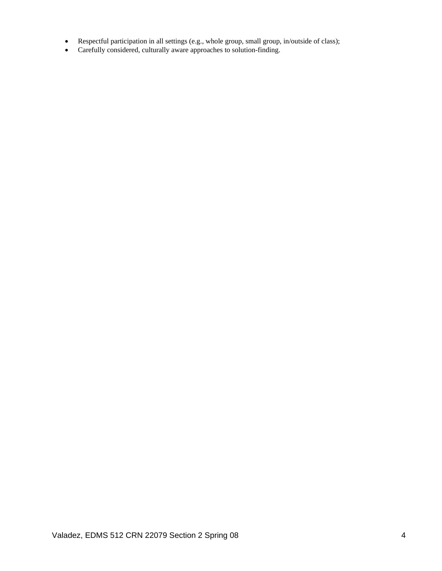- Respectful participation in all settings (e.g., whole group, small group, in/outside of class);
- Carefully considered, culturally aware approaches to solution-finding.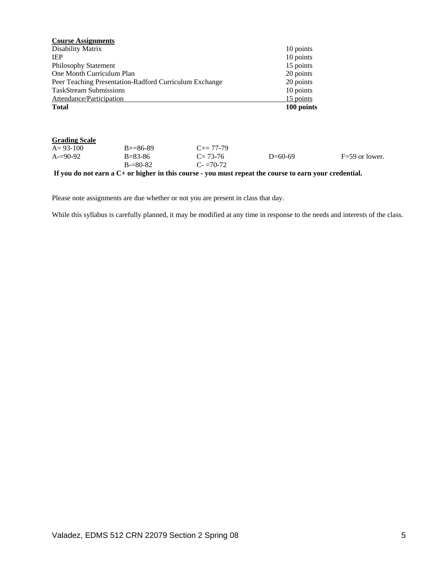| <b>Course Assignments</b>     |                                                        |                     |            |                    |
|-------------------------------|--------------------------------------------------------|---------------------|------------|--------------------|
| Disability Matrix             |                                                        |                     | 10 points  |                    |
| <b>IEP</b>                    |                                                        |                     | 10 points  |                    |
| <b>Philosophy Statement</b>   |                                                        |                     | 15 points  |                    |
| One Month Curriculum Plan     |                                                        |                     | 20 points  |                    |
|                               | Peer Teaching Presentation-Radford Curriculum Exchange |                     | 20 points  |                    |
| <b>TaskStream Submissions</b> |                                                        |                     | 10 points  |                    |
| Attendance/Participation      |                                                        |                     | 15 points  |                    |
| <b>Total</b>                  |                                                        |                     | 100 points |                    |
|                               |                                                        |                     |            |                    |
| <b>Grading Scale</b>          |                                                        |                     |            |                    |
| $A = 93-100$                  | $B+=86-89$                                             | $C_{\pm} = 77 - 79$ |            |                    |
| $A = 90-92$                   | $B = 83 - 86$                                          | $C = 73-76$         | $D=60-69$  | $F = 59$ or lower. |
|                               | $B = 80 - 82$                                          | $C = 70-72$         |            |                    |

**If you do not earn a C+ or higher in this course - you must repeat the course to earn your credential.** 

Please note assignments are due whether or not you are present in class that day.

While this syllabus is carefully planned, it may be modified at any time in response to the needs and interests of the class.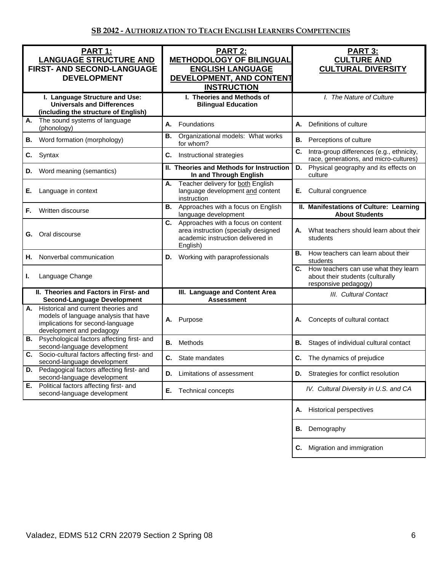| PART 1:<br><b>LANGUAGE STRUCTURE AND</b><br><b>FIRST- AND SECOND-LANGUAGE</b><br><b>DEVELOPMENT</b>                                             | PART 2:<br><b>METHODOLOGY OF BILINGUAL</b><br><b>ENGLISH LANGUAGE</b><br>DEVELOPMENT, AND CONTENT<br><b>INSTRUCTION</b>           | <b>PART 3:</b><br><b>CULTURE AND</b><br><b>CULTURAL DIVERSITY</b>                                   |  |
|-------------------------------------------------------------------------------------------------------------------------------------------------|-----------------------------------------------------------------------------------------------------------------------------------|-----------------------------------------------------------------------------------------------------|--|
| I. Language Structure and Use:<br><b>Universals and Differences</b><br>(including the structure of English)                                     | I. Theories and Methods of<br><b>Bilingual Education</b>                                                                          | I. The Nature of Culture                                                                            |  |
| The sound systems of language<br>А.<br>(phonology)                                                                                              | А.<br>Foundations                                                                                                                 | А.<br>Definitions of culture                                                                        |  |
| Word formation (morphology)<br>В.                                                                                                               | Organizational models: What works<br>В.<br>for whom?                                                                              | В.<br>Perceptions of culture                                                                        |  |
| Syntax<br>C.                                                                                                                                    | C.<br>Instructional strategies                                                                                                    | C.<br>Intra-group differences (e.g., ethnicity,<br>race, generations, and micro-cultures)           |  |
| Word meaning (semantics)<br>D.                                                                                                                  | II. Theories and Methods for Instruction<br>In and Through English                                                                | Physical geography and its effects on<br>D.<br>culture                                              |  |
| Е.<br>Language in context                                                                                                                       | Teacher delivery for both English<br>А.<br>language development and content<br>instruction                                        | Cultural congruence<br>Е.                                                                           |  |
| Written discourse<br>F.                                                                                                                         | Approaches with a focus on English<br>В.<br>language development                                                                  | II. Manifestations of Culture: Learning<br><b>About Students</b>                                    |  |
| Oral discourse<br>G.                                                                                                                            | C.<br>Approaches with a focus on content<br>area instruction (specially designed<br>academic instruction delivered in<br>English) | What teachers should learn about their<br>А.<br>students                                            |  |
| Nonverbal communication<br>Η.                                                                                                                   | Working with paraprofessionals<br>D.                                                                                              | <b>B.</b> How teachers can learn about their<br>students                                            |  |
| Language Change<br>L.                                                                                                                           |                                                                                                                                   | C. How teachers can use what they learn<br>about their students (culturally<br>responsive pedagogy) |  |
| II. Theories and Factors in First- and<br><b>Second-Language Development</b>                                                                    | III. Language and Content Area<br><b>Assessment</b>                                                                               | III. Cultural Contact                                                                               |  |
| A. Historical and current theories and<br>models of language analysis that have<br>implications for second-language<br>development and pedagogy | Purpose<br>Α.                                                                                                                     | Concepts of cultural contact<br>А.                                                                  |  |
| <b>B.</b> Psychological factors affecting first- and<br>second-language development                                                             | Methods<br>В.                                                                                                                     | В.<br>Stages of individual cultural contact                                                         |  |
| C. Socio-cultural factors affecting first- and<br>second-language development                                                                   | C. State mandates                                                                                                                 | C. The dynamics of prejudice                                                                        |  |
| Pedagogical factors affecting first- and<br>D.<br>second-language development                                                                   | Limitations of assessment<br>D.                                                                                                   | D. Strategies for conflict resolution                                                               |  |
| E. Political factors affecting first- and<br>second-language development                                                                        | Е.<br>Technical concepts                                                                                                          | IV. Cultural Diversity in U.S. and CA                                                               |  |
|                                                                                                                                                 |                                                                                                                                   | <b>Historical perspectives</b><br>А.                                                                |  |
|                                                                                                                                                 |                                                                                                                                   | Demography<br>В.                                                                                    |  |
|                                                                                                                                                 |                                                                                                                                   | Migration and immigration<br>C.                                                                     |  |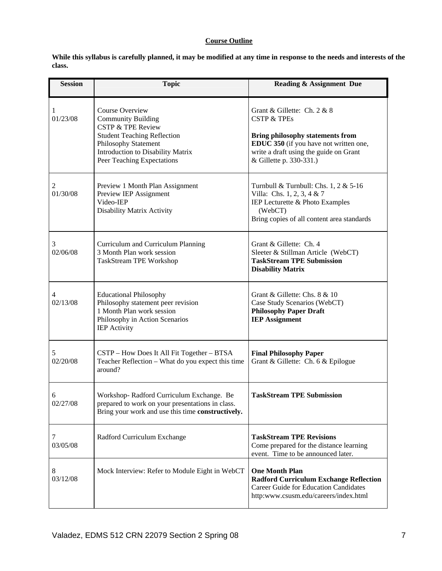# **Course Outline**

**While this syllabus is carefully planned, it may be modified at any time in response to the needs and interests of the class.** 

| <b>Session</b> | <b>Topic</b>                                                                                                                                                                                                  | <b>Reading &amp; Assignment Due</b>                                                                                                                                                                             |
|----------------|---------------------------------------------------------------------------------------------------------------------------------------------------------------------------------------------------------------|-----------------------------------------------------------------------------------------------------------------------------------------------------------------------------------------------------------------|
| 1<br>01/23/08  | Course Overview<br><b>Community Building</b><br><b>CSTP &amp; TPE Review</b><br><b>Student Teaching Reflection</b><br>Philosophy Statement<br>Introduction to Disability Matrix<br>Peer Teaching Expectations | Grant & Gillette: Ch. 2 & 8<br><b>CSTP &amp; TPEs</b><br><b>Bring philosophy statements from</b><br>EDUC 350 (if you have not written one,<br>write a draft using the guide on Grant<br>& Gillette p. 330-331.) |
| 2<br>01/30/08  | Preview 1 Month Plan Assignment<br>Preview IEP Assignment<br>Video-IEP<br>Disability Matrix Activity                                                                                                          | Turnbull & Turnbull: Chs. $1, 2 \& 5\n-16$<br>Villa: Chs. 1, 2, 3, 4 & 7<br>IEP Lecturette & Photo Examples<br>(WebCT)<br>Bring copies of all content area standards                                            |
| 3<br>02/06/08  | Curriculum and Curriculum Planning<br>3 Month Plan work session<br>TaskStream TPE Workshop                                                                                                                    | Grant & Gillette: Ch. 4<br>Sleeter & Stillman Article (WebCT)<br><b>TaskStream TPE Submission</b><br><b>Disability Matrix</b>                                                                                   |
| 4<br>02/13/08  | <b>Educational Philosophy</b><br>Philosophy statement peer revision<br>1 Month Plan work session<br>Philosophy in Action Scenarios<br><b>IEP</b> Activity                                                     | Grant & Gillette: Chs. 8 & 10<br>Case Study Scenarios (WebCT)<br><b>Philosophy Paper Draft</b><br><b>IEP Assignment</b>                                                                                         |
| 5<br>02/20/08  | CSTP - How Does It All Fit Together - BTSA<br>Teacher Reflection - What do you expect this time<br>around?                                                                                                    | <b>Final Philosophy Paper</b><br>Grant & Gillette: Ch. 6 & Epilogue                                                                                                                                             |
| 6<br>02/27/08  | Workshop-Radford Curriculum Exchange. Be<br>prepared to work on your presentations in class.<br>Bring your work and use this time constructively.                                                             | <b>TaskStream TPE Submission</b>                                                                                                                                                                                |
| 7<br>03/05/08  | Radford Curriculum Exchange                                                                                                                                                                                   | <b>TaskStream TPE Revisions</b><br>Come prepared for the distance learning<br>event. Time to be announced later.                                                                                                |
| 8<br>03/12/08  | Mock Interview: Refer to Module Eight in WebCT                                                                                                                                                                | <b>One Month Plan</b><br><b>Radford Curriculum Exchange Reflection</b><br><b>Career Guide for Education Candidates</b><br>http:www.csusm.edu/careers/index.html                                                 |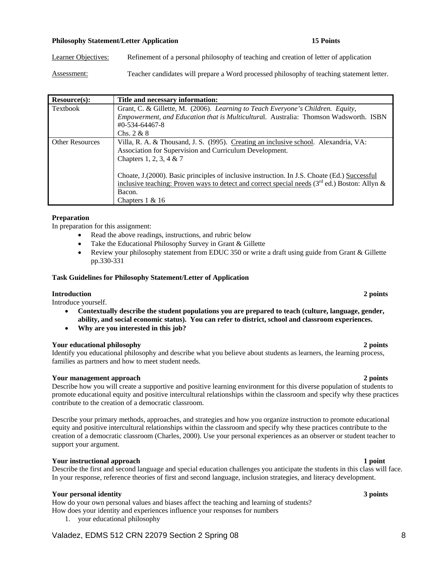### **Philosophy Statement/Letter Application 15 Points 15 Points**

Learner Objectives: Refinement of a personal philosophy of teaching and creation of letter of application

Assessment: Teacher candidates will prepare a Word processed philosophy of teaching statement letter.

| Resource(s):           | Title and necessary information:                                                                 |
|------------------------|--------------------------------------------------------------------------------------------------|
| Textbook               | Grant, C. & Gillette, M. (2006). Learning to Teach Everyone's Children. Equity,                  |
|                        | Empowerment, and Education that is Multicultural. Australia: Thomson Wadsworth. ISBN             |
|                        | $\text{\#}0$ -534-64467-8                                                                        |
|                        | Chs. $2 & 8$                                                                                     |
| <b>Other Resources</b> | Villa, R. A. & Thousand, J. S. (1995). Creating an inclusive school. Alexandria, VA:             |
|                        | Association for Supervision and Curriculum Development.                                          |
|                        | Chapters 1, 2, 3, 4 & 7                                                                          |
|                        |                                                                                                  |
|                        | Choate, J. (2000). Basic principles of inclusive instruction. In J.S. Choate (Ed.) Successful    |
|                        | inclusive teaching: Proven ways to detect and correct special needs ( $3rd$ ed.) Boston: Allyn & |
|                        | Bacon.                                                                                           |
|                        | Chapters $1 & 16$                                                                                |

# **Preparation**

In preparation for this assignment:

- Read the above readings, instructions, and rubric below
- Take the Educational Philosophy Survey in Grant & Gillette
- Review your philosophy statement from EDUC 350 or write a draft using guide from Grant & Gillette pp.330-331

### **Task Guidelines for Philosophy Statement/Letter of Application**

## **Introduction 2 points**

Introduce yourself.

- **Contextually describe the student populations you are prepared to teach (culture, language, gender, ability, and social economic status). You can refer to district, school and classroom experiences.**
- **Why are you interested in this job?**

### **Your educational philosophy 2 points**

Identify you educational philosophy and describe what you believe about students as learners, the learning process, families as partners and how to meet student needs.

### **Your management approach 2 points**

Describe how you will create a supportive and positive learning environment for this diverse population of students to promote educational equity and positive intercultural relationships within the classroom and specify why these practices contribute to the creation of a democratic classroom.

Describe your primary methods, approaches, and strategies and how you organize instruction to promote educational equity and positive intercultural relationships within the classroom and specify why these practices contribute to the creation of a democratic classroom (Charles, 2000). Use your personal experiences as an observer or student teacher to support your argument.

### **Your instructional approach 1 point 1 point 1 point 1 point 1 point 1 point 1 point 1 point 1 point 1 point 1 point 1 point 1 point 1 point 1 point 1 point 1 point 1 point 1 point 1 point 1 point 1 point 1 point 1 point 1**

Describe the first and second language and special education challenges you anticipate the students in this class will face. In your response, reference theories of first and second language, inclusion strategies, and literacy development.

# **Your personal identity 3 points**

How do your own personal values and biases affect the teaching and learning of students?

How does your identity and experiences influence your responses for numbers

1. your educational philosophy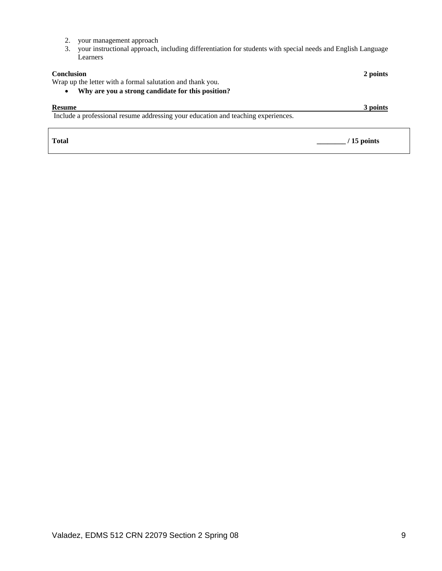- 2. your management approach
- 3. your instructional approach, including differentiation for students with special needs and English Language Learners

| <b>Conclusion</b><br>Wrap up the letter with a formal salutation and thank you.<br>Why are you a strong candidate for this position? | 2 points |
|--------------------------------------------------------------------------------------------------------------------------------------|----------|
| <b>Resume</b>                                                                                                                        | 3 points |
| Include a professional resume addressing your education and teaching experiences.                                                    |          |
|                                                                                                                                      |          |

**Total \_\_\_\_\_\_\_\_ / 15 points**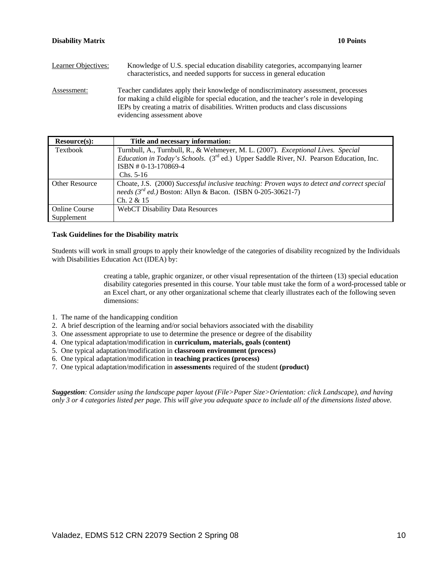| Learner Objectives: | Knowledge of U.S. special education disability categories, accompanying learner<br>characteristics, and needed supports for success in general education                                                                                                                                           |
|---------------------|----------------------------------------------------------------------------------------------------------------------------------------------------------------------------------------------------------------------------------------------------------------------------------------------------|
| Assessment:         | Teacher candidates apply their knowledge of nondiscriminatory assessment, processes<br>for making a child eligible for special education, and the teacher's role in developing<br>IEPs by creating a matrix of disabilities. Written products and class discussions<br>evidencing assessment above |

| Resource(s):          | Title and necessary information:                                                                    |
|-----------------------|-----------------------------------------------------------------------------------------------------|
| Textbook              | Turnbull, A., Turnbull, R., & Wehmeyer, M. L. (2007). Exceptional Lives. Special                    |
|                       | Education in Today's Schools. (3 <sup>rd</sup> ed.) Upper Saddle River, NJ. Pearson Education, Inc. |
|                       | ISBN #0-13-170869-4                                                                                 |
|                       | $Chs. 5-16$                                                                                         |
| <b>Other Resource</b> | Choate, J.S. (2000) Successful inclusive teaching: Proven ways to detect and correct special        |
|                       | needs ( $3^{rd}$ ed.) Boston: Allyn & Bacon. (ISBN 0-205-30621-7)                                   |
|                       | Ch. 2 & 15                                                                                          |
| <b>Online Course</b>  | <b>WebCT Disability Data Resources</b>                                                              |
| Supplement            |                                                                                                     |

# **Task Guidelines for the Disability matrix**

Students will work in small groups to apply their knowledge of the categories of disability recognized by the Individuals with Disabilities Education Act (IDEA) by:

> creating a table, graphic organizer, or other visual representation of the thirteen (13) special education disability categories presented in this course. Your table must take the form of a word-processed table or an Excel chart, or any other organizational scheme that clearly illustrates each of the following seven dimensions:

- 1. The name of the handicapping condition
- 2. A brief description of the learning and/or social behaviors associated with the disability
- 3. One assessment appropriate to use to determine the presence or degree of the disability
- 4. One typical adaptation/modification in **curriculum, materials, goals (content)**
- 5. One typical adaptation/modification in **classroom environment (process)**
- 6. One typical adaptation/modification in **teaching practices (process)**
- 7. One typical adaptation/modification in **assessments** required of the student **(product)**

*Suggestion: Consider using the landscape paper layout (File>Paper Size>Orientation: click Landscape), and having only 3 or 4 categories listed per page. This will give you adequate space to include all of the dimensions listed above.*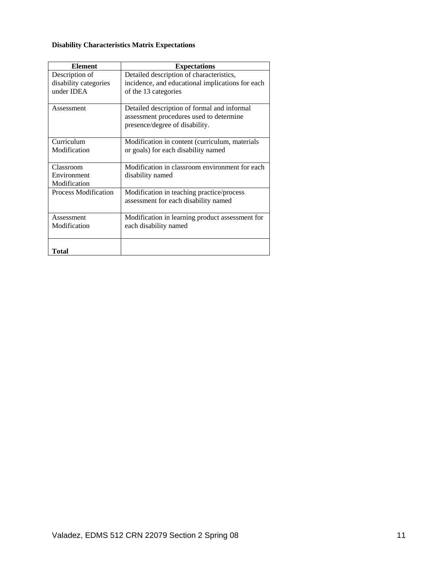# **Disability Characteristics Matrix Expectations**

| <b>Element</b>              | <b>Expectations</b>                              |
|-----------------------------|--------------------------------------------------|
| Description of              | Detailed description of characteristics,         |
| disability categories       | incidence, and educational implications for each |
| under IDEA                  | of the 13 categories                             |
| Assessment                  | Detailed description of formal and informal      |
|                             | assessment procedures used to determine          |
|                             | presence/degree of disability.                   |
| Curriculum                  | Modification in content (curriculum, materials   |
| Modification                | or goals) for each disability named              |
| Classroom                   | Modification in classroom environment for each   |
| Environment                 | disability named                                 |
| Modification                |                                                  |
| <b>Process Modification</b> | Modification in teaching practice/process        |
|                             | assessment for each disability named             |
| Assessment                  | Modification in learning product assessment for  |
| Modification                | each disability named                            |
| Total                       |                                                  |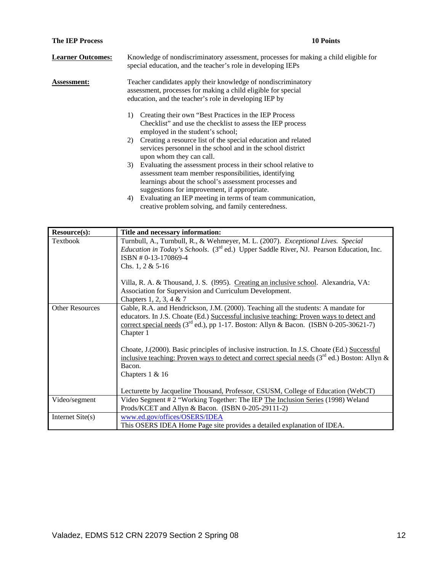| <b>The IEP Process</b>   | <b>10 Points</b>                                                                                                                                                                                                                       |
|--------------------------|----------------------------------------------------------------------------------------------------------------------------------------------------------------------------------------------------------------------------------------|
| <b>Learner Outcomes:</b> | Knowledge of nondiscriminatory assessment, processes for making a child eligible for<br>special education, and the teacher's role in developing IEPs                                                                                   |
| <b>Assessment:</b>       | Teacher candidates apply their knowledge of nondiscriminatory<br>assessment, processes for making a child eligible for special<br>education, and the teacher's role in developing IEP by                                               |
|                          | Creating their own "Best Practices in the IEP Process"<br>1)<br>Checklist" and use the checklist to assess the IEP process<br>employed in the student's school;<br>Creating a resource list of the special education and related<br>2) |
|                          | services personnel in the school and in the school district<br>upon whom they can call.                                                                                                                                                |
|                          | Evaluating the assessment process in their school relative to<br>3)<br>assessment team member responsibilities, identifying<br>learnings about the school's assessment processes and<br>suggestions for improvement, if appropriate.   |
|                          | $\mathbf{r}$                                                                                                                                                                                                                           |

4) Evaluating an IEP meeting in terms of team communication, creative problem solving, and family centeredness.

| Resource(s):           | Title and necessary information:                                                                                                                                                                                                                                                  |
|------------------------|-----------------------------------------------------------------------------------------------------------------------------------------------------------------------------------------------------------------------------------------------------------------------------------|
| Textbook               | Turnbull, A., Turnbull, R., & Wehmeyer, M. L. (2007). Exceptional Lives. Special<br><i>Education in Today's Schools.</i> (3 <sup>rd</sup> ed.) Upper Saddle River, NJ. Pearson Education, Inc.                                                                                    |
|                        | ISBN #0-13-170869-4                                                                                                                                                                                                                                                               |
|                        | Chs. 1, 2 & $5-16$                                                                                                                                                                                                                                                                |
|                        | Villa, R. A. & Thousand, J. S. (1995). Creating an inclusive school. Alexandria, VA:<br>Association for Supervision and Curriculum Development.                                                                                                                                   |
|                        | Chapters 1, 2, 3, 4 & 7                                                                                                                                                                                                                                                           |
| <b>Other Resources</b> | Gable, R.A. and Hendrickson, J.M. (2000). Teaching all the students: A mandate for<br>educators. In J.S. Choate (Ed.) Successful inclusive teaching: Proven ways to detect and<br><u>correct special needs</u> ( $3rd$ ed.), pp 1-17. Boston: Allyn & Bacon. (ISBN 0-205-30621-7) |
|                        | Chapter 1                                                                                                                                                                                                                                                                         |
|                        | Choate, J. (2000). Basic principles of inclusive instruction. In J.S. Choate (Ed.) Successful<br>inclusive teaching: Proven ways to detect and correct special needs $(3^{rd}$ ed.) Boston: Allyn &                                                                               |
|                        | Bacon.                                                                                                                                                                                                                                                                            |
|                        | Chapters 1 & 16                                                                                                                                                                                                                                                                   |
|                        | Lecturette by Jacqueline Thousand, Professor, CSUSM, College of Education (WebCT)                                                                                                                                                                                                 |
| Video/segment          | Video Segment # 2 "Working Together: The IEP The Inclusion Series (1998) Weland<br>Prods/KCET and Allyn & Bacon. (ISBN 0-205-29111-2)                                                                                                                                             |
| Internet $Site(s)$     | www.ed.gov/offices/OSERS/IDEA                                                                                                                                                                                                                                                     |
|                        | This OSERS IDEA Home Page site provides a detailed explanation of IDEA.                                                                                                                                                                                                           |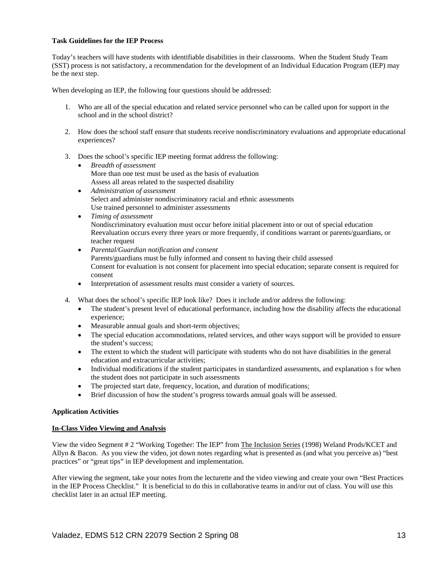## **Task Guidelines for the IEP Process**

Today's teachers will have students with identifiable disabilities in their classrooms. When the Student Study Team (SST) process is not satisfactory, a recommendation for the development of an Individual Education Program (IEP) may be the next step.

When developing an IEP, the following four questions should be addressed:

- 1. Who are all of the special education and related service personnel who can be called upon for support in the school and in the school district?
- 2. How does the school staff ensure that students receive nondiscriminatory evaluations and appropriate educational experiences?
- 3. Does the school's specific IEP meeting format address the following:
	- *Breadth of assessment*  More than one test must be used as the basis of evaluation Assess all areas related to the suspected disability
	- *Administration of assessment*  Select and administer nondiscriminatory racial and ethnic assessments Use trained personnel to administer assessments
	- *Timing of assessment*  Nondiscriminatory evaluation must occur before initial placement into or out of special education Reevaluation occurs every three years or more frequently, if conditions warrant or parents/guardians, or teacher request
	- *Parental/Guardian notification and consent*  Parents/guardians must be fully informed and consent to having their child assessed Consent for evaluation is not consent for placement into special education; separate consent is required for consent
	- Interpretation of assessment results must consider a variety of sources.
- 4. What does the school's specific IEP look like? Does it include and/or address the following:
	- The student's present level of educational performance, including how the disability affects the educational experience;
	- Measurable annual goals and short-term objectives;
	- The special education accommodations, related services, and other ways support will be provided to ensure the student's success;
	- The extent to which the student will participate with students who do not have disabilities in the general education and extracurricular activities;
	- Individual modifications if the student participates in standardized assessments, and explanation s for when the student does not participate in such assessments
	- The projected start date, frequency, location, and duration of modifications;
	- Brief discussion of how the student's progress towards annual goals will be assessed.

# **Application Activities**

### **In-Class Video Viewing and Analysis**

View the video Segment # 2 "Working Together: The IEP" from The Inclusion Series (1998) Weland Prods/KCET and Allyn & Bacon. As you view the video, jot down notes regarding what is presented as (and what you perceive as) "best practices" or "great tips" in IEP development and implementation.

After viewing the segment, take your notes from the lecturette and the video viewing and create your own "Best Practices in the IEP Process Checklist." It is beneficial to do this in collaborative teams in and/or out of class. You will use this checklist later in an actual IEP meeting.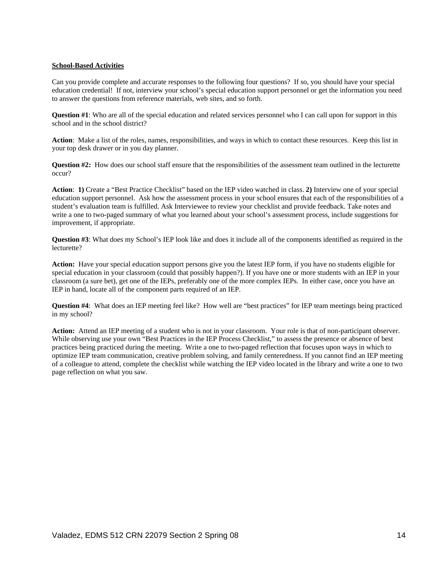# **School-Based Activities**

Can you provide complete and accurate responses to the following four questions? If so, you should have your special education credential! If not, interview your school's special education support personnel or get the information you need to answer the questions from reference materials, web sites, and so forth.

**Question #1**: Who are all of the special education and related services personnel who I can call upon for support in this school and in the school district?

**Action**: Make a list of the roles, names, responsibilities, and ways in which to contact these resources. Keep this list in your top desk drawer or in you day planner.

**Question #2:** How does our school staff ensure that the responsibilities of the assessment team outlined in the lecturette occur?

**Action**: **1)** Create a "Best Practice Checklist" based on the IEP video watched in class. **2)** Interview one of your special education support personnel. Ask how the assessment process in your school ensures that each of the responsibilities of a student's evaluation team is fulfilled. Ask Interviewee to review your checklist and provide feedback. Take notes and write a one to two-paged summary of what you learned about your school's assessment process, include suggestions for improvement, if appropriate.

**Question #3**: What does my School's IEP look like and does it include all of the components identified as required in the lecturette?

**Action:** Have your special education support persons give you the latest IEP form, if you have no students eligible for special education in your classroom (could that possibly happen?). If you have one or more students with an IEP in your classroom (a sure bet), get one of the IEPs, preferably one of the more complex IEPs. In either case, once you have an IEP in hand, locate all of the component parts required of an IEP.

**Question #4:** What does an IEP meeting feel like? How well are "best practices" for IEP team meetings being practiced in my school?

**Action:** Attend an IEP meeting of a student who is not in your classroom. Your role is that of non-participant observer. While observing use your own "Best Practices in the IEP Process Checklist," to assess the presence or absence of best practices being practiced during the meeting. Write a one to two-paged reflection that focuses upon ways in which to optimize IEP team communication, creative problem solving, and family centeredness. If you cannot find an IEP meeting of a colleague to attend, complete the checklist while watching the IEP video located in the library and write a one to two page reflection on what you saw.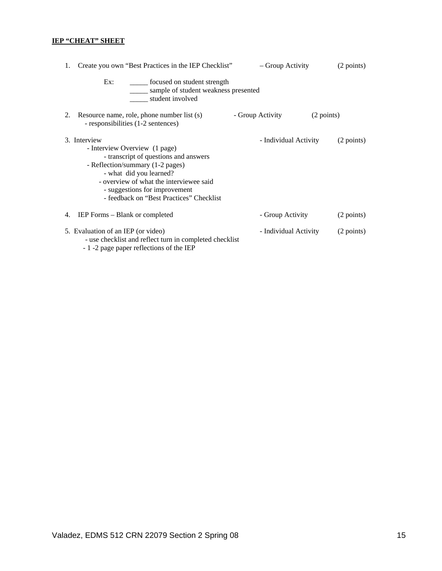# **IEP "CHEAT" SHEET**

| Create you own "Best Practices in the IEP Checklist"<br>1.                                                                                                                                                                                                                    | – Group Activity      | (2 points) |
|-------------------------------------------------------------------------------------------------------------------------------------------------------------------------------------------------------------------------------------------------------------------------------|-----------------------|------------|
| ______ focused on student strength<br>Ex:<br>sample of student weakness presented<br>student involved                                                                                                                                                                         |                       |            |
| Resource name, role, phone number list (s)<br>2.<br>- responsibilities (1-2 sentences)                                                                                                                                                                                        | - Group Activity      | (2 points) |
| 3. Interview<br>- Interview Overview (1 page)<br>- transcript of questions and answers<br>- Reflection/summary (1-2 pages)<br>- what did you learned?<br>- overview of what the interviewee said<br>- suggestions for improvement<br>- feedback on "Best Practices" Checklist | - Individual Activity | (2 points) |
| IEP Forms – Blank or completed<br>4.                                                                                                                                                                                                                                          | - Group Activity      | (2 points) |
| 5. Evaluation of an IEP (or video)<br>- use checklist and reflect turn in completed checklist<br>$\sim 1$ -2 nage naper reflections of the IEP                                                                                                                                | - Individual Activity | (2 points) |

- 1 -2 page paper reflections of the IEP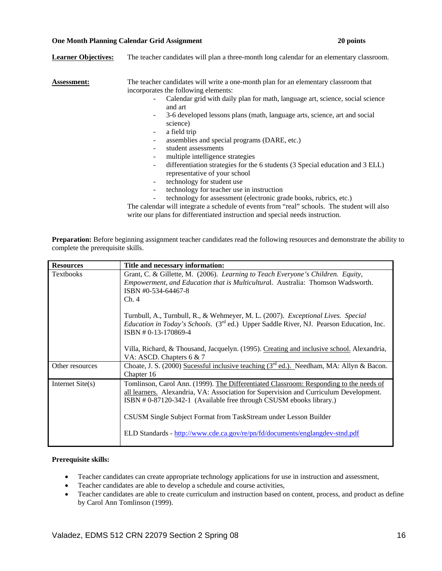### **One Month Planning Calendar Grid Assignment 20 points**  20 points **20 points**

| <b>Learner Objectives:</b> | The teacher candidates will plan a three-month long calendar for an elementary classroom.                                                  |
|----------------------------|--------------------------------------------------------------------------------------------------------------------------------------------|
| <b>Assessment:</b>         | The teacher candidates will write a one-month plan for an elementary classroom that<br>incorporates the following elements:                |
|                            | Calendar grid with daily plan for math, language art, science, social science<br>and art                                                   |
|                            | 3-6 developed lessons plans (math, language arts, science, art and social<br>$\overline{\phantom{a}}$<br>science)                          |
|                            | a field trip<br>۰                                                                                                                          |
|                            | assemblies and special programs (DARE, etc.)<br>$\overline{\phantom{a}}$                                                                   |
|                            | student assessments<br>$\overline{\phantom{a}}$                                                                                            |
|                            | multiple intelligence strategies<br>$\overline{\phantom{a}}$                                                                               |
|                            | differentiation strategies for the 6 students (3 Special education and 3 ELL)<br>$\overline{\phantom{a}}$<br>representative of your school |
|                            | technology for student use<br>$\overline{\phantom{a}}$                                                                                     |
|                            | technology for teacher use in instruction<br>$\overline{\phantom{a}}$                                                                      |
|                            | technology for assessment (electronic grade books, rubrics, etc.)<br>۰                                                                     |
|                            | The calendar will integrate a schedule of events from "real" schools. The student will also                                                |

write our plans for differentiated instruction and special needs instruction.

**Preparation:** Before beginning assignment teacher candidates read the following resources and demonstrate the ability to complete the prerequisite skills.

| <b>Resources</b>   | Title and necessary information:                                                                                                                                                                                                                                                                                                                                                                          |
|--------------------|-----------------------------------------------------------------------------------------------------------------------------------------------------------------------------------------------------------------------------------------------------------------------------------------------------------------------------------------------------------------------------------------------------------|
| <b>Textbooks</b>   | Grant, C. & Gillette, M. (2006). Learning to Teach Everyone's Children. Equity,<br>Empowerment, and Education that is Multicultural. Australia: Thomson Wadsworth.<br>ISBN #0-534-64467-8<br>Ch.4                                                                                                                                                                                                         |
|                    | Turnbull, A., Turnbull, R., & Wehmeyer, M. L. (2007). Exceptional Lives. Special<br><i>Education in Today's Schools.</i> (3 <sup>rd</sup> ed.) Upper Saddle River, NJ. Pearson Education, Inc.<br>ISBN #0-13-170869-4                                                                                                                                                                                     |
|                    | Villa, Richard, & Thousand, Jacquelyn. (1995). Creating and inclusive school. Alexandria,<br>VA: ASCD. Chapters 6 & 7                                                                                                                                                                                                                                                                                     |
| Other resources    | Choate, J. S. (2000) Sucessful inclusive teaching $(3^{rd}$ ed.). Needham, MA: Allyn & Bacon.<br>Chapter 16                                                                                                                                                                                                                                                                                               |
| Internet $Site(s)$ | Tomlinson, Carol Ann. (1999). The Differentiated Classroom: Responding to the needs of<br>all learners. Alexandria, VA: Association for Supervision and Curriculum Development.<br>ISBN #0-87120-342-1 (Available free through CSUSM ebooks library.)<br>CSUSM Single Subject Format from TaskStream under Lesson Builder<br>ELD Standards - http://www.cde.ca.gov/re/pn/fd/documents/englangdev-stnd.pdf |

# **Prerequisite skills:**

- Teacher candidates can create appropriate technology applications for use in instruction and assessment,
- Teacher candidates are able to develop a schedule and course activities,
- Teacher candidates are able to create curriculum and instruction based on content, process, and product as define by Carol Ann Tomlinson (1999).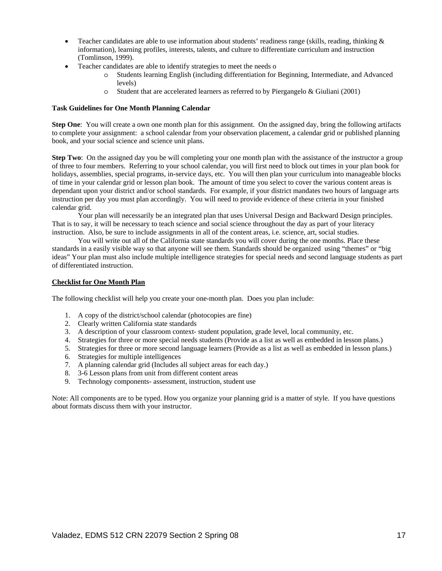- Teacher candidates are able to use information about students' readiness range (skills, reading, thinking  $\&$ information), learning profiles, interests, talents, and culture to differentiate curriculum and instruction (Tomlinson, 1999).
- Teacher candidates are able to identify strategies to meet the needs o
	- o Students learning English (including differentiation for Beginning, Intermediate, and Advanced levels)
	- o Student that are accelerated learners as referred to by Piergangelo & Giuliani (2001)

### **Task Guidelines for One Month Planning Calendar**

**Step One**: You will create a own one month plan for this assignment. On the assigned day, bring the following artifacts to complete your assignment: a school calendar from your observation placement, a calendar grid or published planning book, and your social science and science unit plans.

**Step Two**: On the assigned day you be will completing your one month plan with the assistance of the instructor a group of three to four members. Referring to your school calendar, you will first need to block out times in your plan book for holidays, assemblies, special programs, in-service days, etc. You will then plan your curriculum into manageable blocks of time in your calendar grid or lesson plan book. The amount of time you select to cover the various content areas is dependant upon your district and/or school standards. For example, if your district mandates two hours of language arts instruction per day you must plan accordingly. You will need to provide evidence of these criteria in your finished calendar grid.

 Your plan will necessarily be an integrated plan that uses Universal Design and Backward Design principles. That is to say, it will be necessary to teach science and social science throughout the day as part of your literacy instruction. Also, be sure to include assignments in all of the content areas, i.e. science, art, social studies.

You will write out all of the California state standards you will cover during the one months. Place these standards in a easily visible way so that anyone will see them. Standards should be organized using "themes" or "big ideas" Your plan must also include multiple intelligence strategies for special needs and second language students as part of differentiated instruction.

## **Checklist for One Month Plan**

The following checklist will help you create your one-month plan. Does you plan include:

- 1. A copy of the district/school calendar (photocopies are fine)
- 2. Clearly written California state standards
- 3. A description of your classroom context- student population, grade level, local community, etc.
- 4. Strategies for three or more special needs students (Provide as a list as well as embedded in lesson plans.)
- 5. Strategies for three or more second language learners (Provide as a list as well as embedded in lesson plans.)
- 6. Strategies for multiple intelligences
- 7. A planning calendar grid (Includes all subject areas for each day.)
- 8. 3-6 Lesson plans from unit from different content areas
- 9. Technology components- assessment, instruction, student use

Note: All components are to be typed. How you organize your planning grid is a matter of style. If you have questions about formats discuss them with your instructor.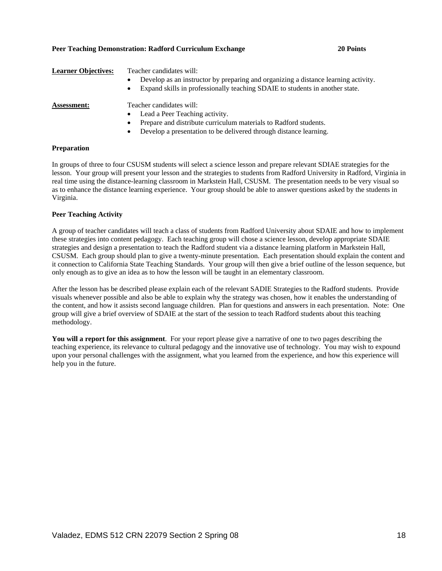### A group of teacher candidates will teach a class of students from Radford University about SDAIE and how to implement these strategies into content pedagogy. Each teaching group will chose a science lesson, develop appropriate SDAIE strategies and design a presentation to teach the Radford student via a distance learning platform in Markstein Hall, CSUSM. Each group should plan to give a twenty-minute presentation. Each presentation should explain the content and it connection to California State Teaching Standards. Your group will then give a brief outline of the lesson sequence, but only enough as to give an idea as to how the lesson will be taught in an elementary classroom.

After the lesson has be described please explain each of the relevant SADIE Strategies to the Radford students. Provide visuals whenever possible and also be able to explain why the strategy was chosen, how it enables the understanding of the content, and how it assists second language children. Plan for questions and answers in each presentation. Note: One group will give a brief overview of SDAIE at the start of the session to teach Radford students about this teaching methodology.

**You will a report for this assignment**. For your report please give a narrative of one to two pages describing the teaching experience, its relevance to cultural pedagogy and the innovative use of technology. You may wish to expound upon your personal challenges with the assignment, what you learned from the experience, and how this experience will help you in the future.

# Valadez, EDMS 512 CRN 22079 Section 2 Spring 08 18

| <b>Learner Objectives:</b> | Teacher candidates will:<br>Develop as an instructor by preparing and organizing a distance learning activity.<br>$\bullet$<br>Expand skills in professionally teaching SDAIE to students in another state.<br>$\bullet$ |
|----------------------------|--------------------------------------------------------------------------------------------------------------------------------------------------------------------------------------------------------------------------|
| <b>Assessment:</b>         | Teacher candidates will:                                                                                                                                                                                                 |
|                            | Lead a Peer Teaching activity.<br>$\bullet$                                                                                                                                                                              |
|                            | Prepare and distribute curriculum materials to Radford students.<br>٠                                                                                                                                                    |
|                            | Develop a presentation to be delivered through distance learning.                                                                                                                                                        |

# **Preparation**

**Peer Teaching Activity** 

In groups of three to four CSUSM students will select a science lesson and prepare relevant SDIAE strategies for the lesson. Your group will present your lesson and the strategies to students from Radford University in Radford, Virginia in real time using the distance-learning classroom in Markstein Hall, CSUSM. The presentation needs to be very visual so as to enhance the distance learning experience. Your group should be able to answer questions asked by the students in Virginia.

# **Peer Teaching Demonstration: Radford Curriculum Exchange 20 Points**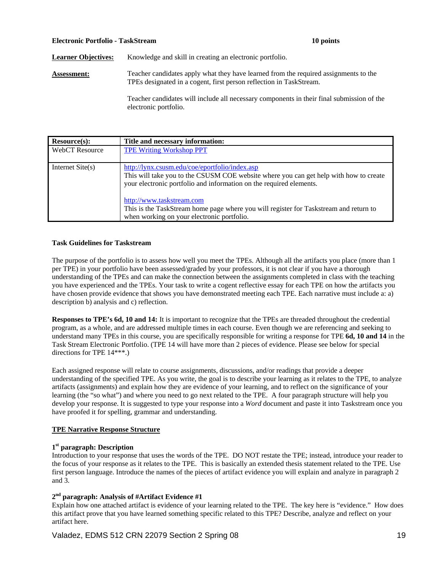### **Electronic Portfolio - TaskStream 10 points**

**Learner Objectives:** Knowledge and skill in creating an electronic portfolio.

**Assessment:** Teacher candidates apply what they have learned from the required assignments to the TPEs designated in a cogent, first person reflection in TaskStream.

> Teacher candidates will include all necessary components in their final submission of the electronic portfolio.

| Resource(s):          | Title and necessary information:                                                                                                                                                                                                                                                                                                                                                   |
|-----------------------|------------------------------------------------------------------------------------------------------------------------------------------------------------------------------------------------------------------------------------------------------------------------------------------------------------------------------------------------------------------------------------|
| <b>WebCT</b> Resource | <b>TPE Writing Workshop PPT</b>                                                                                                                                                                                                                                                                                                                                                    |
| Internet $Site(s)$    | http://lynx.csusm.edu/coe/eportfolio/index.asp<br>This will take you to the CSUSM COE website where you can get help with how to create<br>your electronic portfolio and information on the required elements.<br>http://www.taskstream.com<br>This is the TaskStream home page where you will register for Taskstream and return to<br>when working on your electronic portfolio. |

### **Task Guidelines for Taskstream**

The purpose of the portfolio is to assess how well you meet the TPEs. Although all the artifacts you place (more than 1 per TPE) in your portfolio have been assessed/graded by your professors, it is not clear if you have a thorough understanding of the TPEs and can make the connection between the assignments completed in class with the teaching you have experienced and the TPEs. Your task to write a cogent reflective essay for each TPE on how the artifacts you have chosen provide evidence that shows you have demonstrated meeting each TPE. Each narrative must include a: a) description b) analysis and c) reflection.

**Responses to TPE's 6d, 10 and 14:** It is important to recognize that the TPEs are threaded throughout the credential program, as a whole, and are addressed multiple times in each course. Even though we are referencing and seeking to understand many TPEs in this course, you are specifically responsible for writing a response for TPE **6d, 10 and 14** in the Task Stream Electronic Portfolio. (TPE 14 will have more than 2 pieces of evidence. Please see below for special directions for TPE 14\*\*\*.)

Each assigned response will relate to course assignments, discussions, and/or readings that provide a deeper understanding of the specified TPE. As you write, the goal is to describe your learning as it relates to the TPE, to analyze artifacts (assignments) and explain how they are evidence of your learning, and to reflect on the significance of your learning (the "so what") and where you need to go next related to the TPE. A four paragraph structure will help you develop your response. It is suggested to type your response into a *Word* document and paste it into Taskstream once you have proofed it for spelling, grammar and understanding.

# **TPE Narrative Response Structure**

# **1st paragraph: Description**

Introduction to your response that uses the words of the TPE. DO NOT restate the TPE; instead, introduce your reader to the focus of your response as it relates to the TPE. This is basically an extended thesis statement related to the TPE. Use first person language. Introduce the names of the pieces of artifact evidence you will explain and analyze in paragraph 2 and 3.

# **2nd paragraph: Analysis of #Artifact Evidence #1**

Explain how one attached artifact is evidence of your learning related to the TPE. The key here is "evidence." How does this artifact prove that you have learned something specific related to this TPE? Describe, analyze and reflect on your artifact here.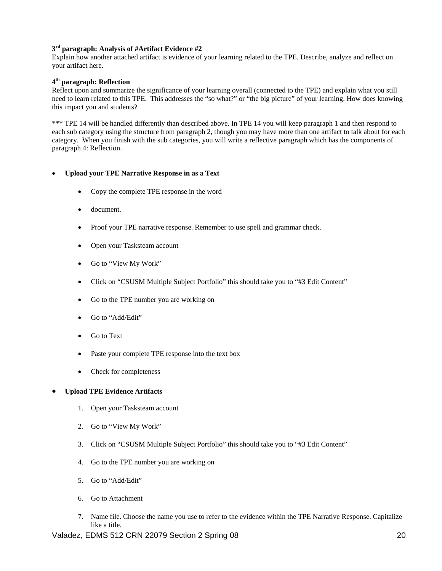# **3rd paragraph: Analysis of #Artifact Evidence #2**

Explain how another attached artifact is evidence of your learning related to the TPE. Describe, analyze and reflect on your artifact here.

# **4th paragraph: Reflection**

Reflect upon and summarize the significance of your learning overall (connected to the TPE) and explain what you still need to learn related to this TPE. This addresses the "so what?" or "the big picture" of your learning. How does knowing this impact you and students?

\*\*\* TPE 14 will be handled differently than described above. In TPE 14 you will keep paragraph 1 and then respond to each sub category using the structure from paragraph 2, though you may have more than one artifact to talk about for each category. When you finish with the sub categories, you will write a reflective paragraph which has the components of paragraph 4: Reflection.

# • **Upload your TPE Narrative Response in as a Text**

- Copy the complete TPE response in the word
- document.
- Proof your TPE narrative response. Remember to use spell and grammar check.
- Open your Tasksteam account
- Go to "View My Work"
- Click on "CSUSM Multiple Subject Portfolio" this should take you to "#3 Edit Content"
- Go to the TPE number you are working on
- Go to "Add/Edit"
- Go to Text
- Paste your complete TPE response into the text box
- Check for completeness

### • **Upload TPE Evidence Artifacts**

- 1. Open your Tasksteam account
- 2. Go to "View My Work"
- 3. Click on "CSUSM Multiple Subject Portfolio" this should take you to "#3 Edit Content"
- 4. Go to the TPE number you are working on
- 5. Go to "Add/Edit"
- 6. Go to Attachment
- 7. Name file. Choose the name you use to refer to the evidence within the TPE Narrative Response. Capitalize like a title.

Valadez, EDMS 512 CRN 22079 Section 2 Spring 08 20 20